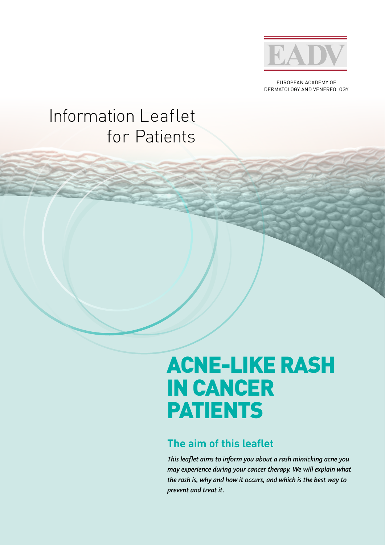

EUROPEAN ACADEMY OF DERMATOLOGY AND VENEREOLOGY

## Information Leaflet for Patients

# ACNE-LIKE RASH IN CANCER PATIENTS

### **The aim of this leaflet**

*This leaflet aims to inform you about a rash mimicking acne you may experience during your cancer therapy. We will explain what the rash is, why and how it occurs, and which is the best way to prevent and treat it.*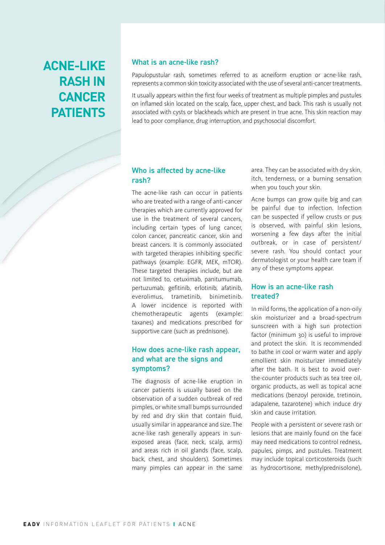## **ACNE-LIKE RASH IN CANCER PATIENTS**

#### What is an acne-like rash?

Papulopustular rash, sometimes referred to as acneiform eruption or acne-like rash, represents a common skin toxicity associated with the use of several anti-cancer treatments.

It usually appears within the first four weeks of treatment as multiple pimples and pustules on inflamed skin located on the scalp, face, upper chest, and back. This rash is usually not associated with cysts or blackheads which are present in true acne. This skin reaction may lead to poor compliance, drug interruption, and psychosocial discomfort.

#### Who is affected by acne-like rash?

The acne-like rash can occur in patients who are treated with a range of anti-cancer therapies which are currently approved for use in the treatment of several cancers, including certain types of lung cancer, colon cancer, pancreatic cancer, skin and breast cancers. It is commonly associated with targeted therapies inhibiting specific pathways (example: EGFR, MEK, mTOR). These targeted therapies include, but are not limited to, cetuximab, panitumumab, pertuzumab, gefitinib, erlotinib, afatinib, everolimus, trametinib, binimetinib. A lower incidence is reported with chemotherapeutic agents (example: taxanes) and medications prescribed for supportive care (such as prednisone).

#### How does acne-like rash appear, and what are the signs and symptoms?

The diagnosis of acne-like eruption in cancer patients is usually based on the observation of a sudden outbreak of red pimples, or white small bumps surrounded by red and dry skin that contain fluid, usually similar in appearance and size. The acne-like rash generally appears in sunexposed areas (face, neck, scalp, arms) and areas rich in oil glands (face, scalp, back, chest, and shoulders). Sometimes many pimples can appear in the same area. They can be associated with dry skin, itch, tenderness, or a burning sensation when you touch your skin.

Acne bumps can grow quite big and can be painful due to infection. Infection can be suspected if yellow crusts or pus is observed, with painful skin lesions, worsening a few days after the initial outbreak, or in case of persistent/ severe rash. You should contact your dermatologist or your health care team if any of these symptoms appear.

#### How is an acne-like rash treated?

In mild forms, the application of a non-oily skin moisturizer and a broad-spectrum sunscreen with a high sun protection factor (minimum 30) is useful to improve and protect the skin. It is recommended to bathe in cool or warm water and apply emollient skin moisturizer immediately after the bath. It is best to avoid overthe-counter products such as tea tree oil, organic products, as well as topical acne medications (benzoyl peroxide, tretinoin, adapalene, tazarotene) which induce dry skin and cause irritation.

People with a persistent or severe rash or lesions that are mainly found on the face may need medications to control redness, papules, pimps, and pustules. Treatment may include topical corticosteroids (such as hydrocortisone, methylprednisolone),